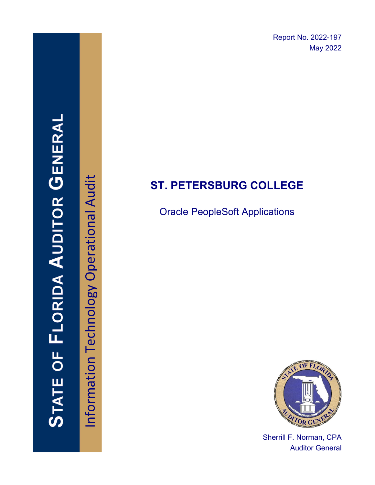Report No. 2022-197 May 2022

# **ST. PETERSBURG COLLEGE**

Oracle PeopleSoft Applications



Sherrill F. Norman, CPA Auditor General

**STATE OF FLORIDA AUDITOR GENERAI** 

Information Technology Operational Audit Information Technology Operational Audit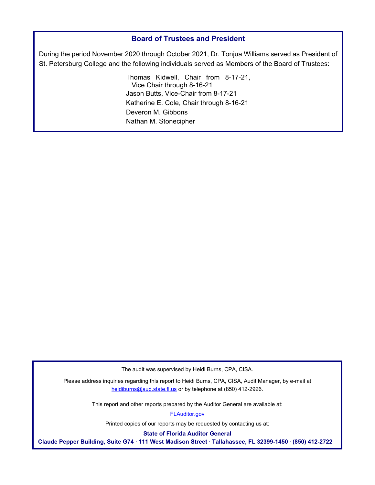#### **Board of Trustees and President**

During the period November 2020 through October 2021, Dr. Tonjua Williams served as President of St. Petersburg College and the following individuals served as Members of the Board of Trustees:

> Thomas Kidwell, Chair from 8-17-21, Vice Chair through 8-16-21 Jason Butts, Vice-Chair from 8-17-21 Katherine E. Cole, Chair through 8-16-21 Deveron M. Gibbons Nathan M. Stonecipher

The audit was supervised by Heidi Burns, CPA, CISA.

Please address inquiries regarding this report to Heidi Burns, CPA, CISA, Audit Manager, by e-mail at heidiburns@aud.state.fl.us or by telephone at (850) 412-2926.

This report and other reports prepared by the Auditor General are available at:

[FLAuditor.gov](http://flauditor.gov/) 

Printed copies of our reports may be requested by contacting us at:

**State of Florida Auditor General** 

**Claude Pepper Building, Suite G74 · 111 West Madison Street · Tallahassee, FL 32399-1450 · (850) 412-2722**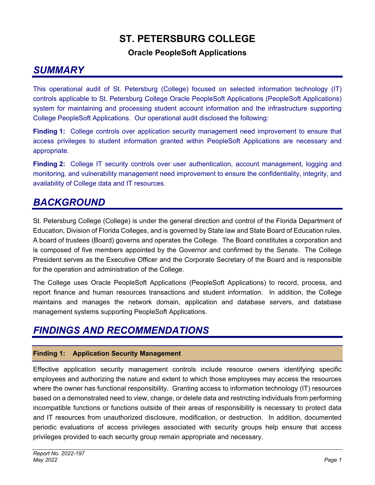# **ST. PETERSBURG COLLEGE**

#### **Oracle PeopleSoft Applications**

## *SUMMARY*

This operational audit of St. Petersburg (College) focused on selected information technology (IT) controls applicable to St. Petersburg College Oracle PeopleSoft Applications (PeopleSoft Applications) system for maintaining and processing student account information and the infrastructure supporting College PeopleSoft Applications. Our operational audit disclosed the following:

**Finding 1:** College controls over application security management need improvement to ensure that access privileges to student information granted within PeopleSoft Applications are necessary and appropriate.

**Finding 2:** College IT security controls over user authentication, account management, logging and monitoring, and vulnerability management need improvement to ensure the confidentiality, integrity, and availability of College data and IT resources.

## *BACKGROUND*

St. Petersburg College (College) is under the general direction and control of the Florida Department of Education, Division of Florida Colleges, and is governed by State law and State Board of Education rules. A board of trustees (Board) governs and operates the College. The Board constitutes a corporation and is composed of five members appointed by the Governor and confirmed by the Senate. The College President serves as the Executive Officer and the Corporate Secretary of the Board and is responsible for the operation and administration of the College.

The College uses Oracle PeopleSoft Applications (PeopleSoft Applications) to record, process, and report finance and human resources transactions and student information. In addition, the College maintains and manages the network domain, application and database servers, and database management systems supporting PeopleSoft Applications.

## *FINDINGS AND RECOMMENDATIONS*

#### **Finding 1: Application Security Management**

Effective application security management controls include resource owners identifying specific employees and authorizing the nature and extent to which those employees may access the resources where the owner has functional responsibility. Granting access to information technology (IT) resources based on a demonstrated need to view, change, or delete data and restricting individuals from performing incompatible functions or functions outside of their areas of responsibility is necessary to protect data and IT resources from unauthorized disclosure, modification, or destruction. In addition, documented periodic evaluations of access privileges associated with security groups help ensure that access privileges provided to each security group remain appropriate and necessary.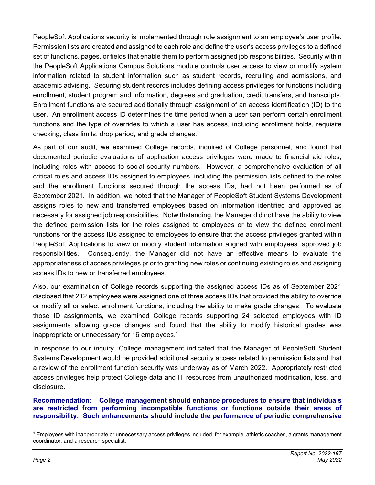PeopleSoft Applications security is implemented through role assignment to an employee's user profile. Permission lists are created and assigned to each role and define the user's access privileges to a defined set of functions, pages, or fields that enable them to perform assigned job responsibilities. Security within the PeopleSoft Applications Campus Solutions module controls user access to view or modify system information related to student information such as student records, recruiting and admissions, and academic advising. Securing student records includes defining access privileges for functions including enrollment, student program and information, degrees and graduation, credit transfers, and transcripts. Enrollment functions are secured additionally through assignment of an access identification (ID) to the user. An enrollment access ID determines the time period when a user can perform certain enrollment functions and the type of overrides to which a user has access, including enrollment holds, requisite checking, class limits, drop period, and grade changes.

As part of our audit, we examined College records, inquired of College personnel, and found that documented periodic evaluations of application access privileges were made to financial aid roles, including roles with access to social security numbers. However, a comprehensive evaluation of all critical roles and access IDs assigned to employees, including the permission lists defined to the roles and the enrollment functions secured through the access IDs, had not been performed as of September 2021. In addition, we noted that the Manager of PeopleSoft Student Systems Development assigns roles to new and transferred employees based on information identified and approved as necessary for assigned job responsibilities. Notwithstanding, the Manager did not have the ability to view the defined permission lists for the roles assigned to employees or to view the defined enrollment functions for the access IDs assigned to employees to ensure that the access privileges granted within PeopleSoft Applications to view or modify student information aligned with employees' approved job responsibilities. Consequently, the Manager did not have an effective means to evaluate the appropriateness of access privileges prior to granting new roles or continuing existing roles and assigning access IDs to new or transferred employees.

Also, our examination of College records supporting the assigned access IDs as of September 2021 disclosed that 212 employees were assigned one of three access IDs that provided the ability to override or modify all or select enrollment functions, including the ability to make grade changes. To evaluate those ID assignments, we examined College records supporting 24 selected employees with ID assignments allowing grade changes and found that the ability to modify historical grades was inappropriate or unnecessary for 16 employees.<sup>1</sup>

In response to our inquiry, College management indicated that the Manager of PeopleSoft Student Systems Development would be provided additional security access related to permission lists and that a review of the enrollment function security was underway as of March 2022. Appropriately restricted access privileges help protect College data and IT resources from unauthorized modification, loss, and disclosure.

**Recommendation: College management should enhance procedures to ensure that individuals are restricted from performing incompatible functions or functions outside their areas of responsibility. Such enhancements should include the performance of periodic comprehensive** 

<sup>1</sup> Employees with inappropriate or unnecessary access privileges included, for example, athletic coaches, a grants management coordinator, and a research specialist.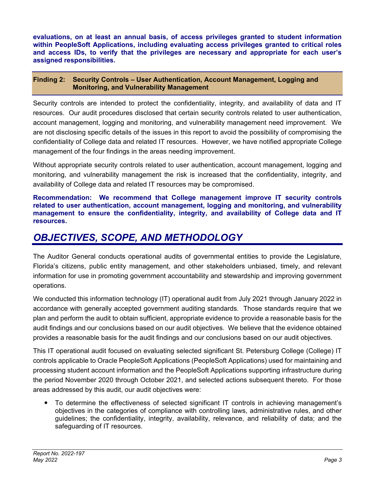**evaluations, on at least an annual basis, of access privileges granted to student information within PeopleSoft Applications, including evaluating access privileges granted to critical roles and access IDs, to verify that the privileges are necessary and appropriate for each user's assigned responsibilities.** 

#### **Finding 2: Security Controls – User Authentication, Account Management, Logging and Monitoring, and Vulnerability Management**

Security controls are intended to protect the confidentiality, integrity, and availability of data and IT resources. Our audit procedures disclosed that certain security controls related to user authentication, account management, logging and monitoring, and vulnerability management need improvement. We are not disclosing specific details of the issues in this report to avoid the possibility of compromising the confidentiality of College data and related IT resources. However, we have notified appropriate College management of the four findings in the areas needing improvement.

Without appropriate security controls related to user authentication, account management, logging and monitoring, and vulnerability management the risk is increased that the confidentiality, integrity, and availability of College data and related IT resources may be compromised.

**Recommendation: We recommend that College management improve IT security controls related to user authentication, account management, logging and monitoring, and vulnerability management to ensure the confidentiality, integrity, and availability of College data and IT resources.** 

### *OBJECTIVES, SCOPE, AND METHODOLOGY*

The Auditor General conducts operational audits of governmental entities to provide the Legislature, Florida's citizens, public entity management, and other stakeholders unbiased, timely, and relevant information for use in promoting government accountability and stewardship and improving government operations.

We conducted this information technology (IT) operational audit from July 2021 through January 2022 in accordance with generally accepted government auditing standards. Those standards require that we plan and perform the audit to obtain sufficient, appropriate evidence to provide a reasonable basis for the audit findings and our conclusions based on our audit objectives. We believe that the evidence obtained provides a reasonable basis for the audit findings and our conclusions based on our audit objectives.

This IT operational audit focused on evaluating selected significant St. Petersburg College (College) IT controls applicable to Oracle PeopleSoft Applications (PeopleSoft Applications) used for maintaining and processing student account information and the PeopleSoft Applications supporting infrastructure during the period November 2020 through October 2021, and selected actions subsequent thereto. For those areas addressed by this audit, our audit objectives were:

 To determine the effectiveness of selected significant IT controls in achieving management's objectives in the categories of compliance with controlling laws, administrative rules, and other guidelines; the confidentiality, integrity, availability, relevance, and reliability of data; and the safeguarding of IT resources.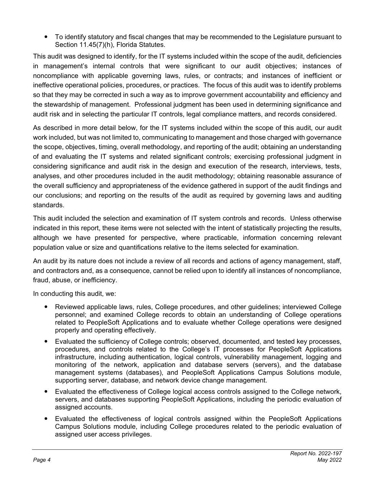To identify statutory and fiscal changes that may be recommended to the Legislature pursuant to Section 11.45(7)(h), Florida Statutes.

This audit was designed to identify, for the IT systems included within the scope of the audit, deficiencies in management's internal controls that were significant to our audit objectives; instances of noncompliance with applicable governing laws, rules, or contracts; and instances of inefficient or ineffective operational policies, procedures, or practices. The focus of this audit was to identify problems so that they may be corrected in such a way as to improve government accountability and efficiency and the stewardship of management. Professional judgment has been used in determining significance and audit risk and in selecting the particular IT controls, legal compliance matters, and records considered.

As described in more detail below, for the IT systems included within the scope of this audit, our audit work included, but was not limited to, communicating to management and those charged with governance the scope, objectives, timing, overall methodology, and reporting of the audit; obtaining an understanding of and evaluating the IT systems and related significant controls; exercising professional judgment in considering significance and audit risk in the design and execution of the research, interviews, tests, analyses, and other procedures included in the audit methodology; obtaining reasonable assurance of the overall sufficiency and appropriateness of the evidence gathered in support of the audit findings and our conclusions; and reporting on the results of the audit as required by governing laws and auditing standards.

This audit included the selection and examination of IT system controls and records. Unless otherwise indicated in this report, these items were not selected with the intent of statistically projecting the results, although we have presented for perspective, where practicable, information concerning relevant population value or size and quantifications relative to the items selected for examination.

An audit by its nature does not include a review of all records and actions of agency management, staff, and contractors and, as a consequence, cannot be relied upon to identify all instances of noncompliance, fraud, abuse, or inefficiency.

In conducting this audit, we:

- Reviewed applicable laws, rules, College procedures, and other guidelines; interviewed College personnel; and examined College records to obtain an understanding of College operations related to PeopleSoft Applications and to evaluate whether College operations were designed properly and operating effectively.
- Evaluated the sufficiency of College controls; observed, documented, and tested key processes, procedures, and controls related to the College's IT processes for PeopleSoft Applications infrastructure, including authentication, logical controls, vulnerability management, logging and monitoring of the network, application and database servers (servers), and the database management systems (databases), and PeopleSoft Applications Campus Solutions module, supporting server, database, and network device change management.
- Evaluated the effectiveness of College logical access controls assigned to the College network, servers, and databases supporting PeopleSoft Applications, including the periodic evaluation of assigned accounts.
- Evaluated the effectiveness of logical controls assigned within the PeopleSoft Applications Campus Solutions module, including College procedures related to the periodic evaluation of assigned user access privileges.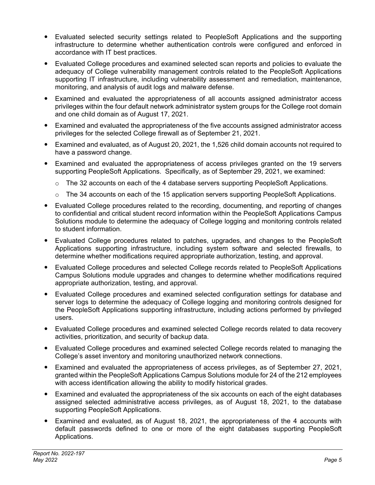- Evaluated selected security settings related to PeopleSoft Applications and the supporting infrastructure to determine whether authentication controls were configured and enforced in accordance with IT best practices.
- Evaluated College procedures and examined selected scan reports and policies to evaluate the adequacy of College vulnerability management controls related to the PeopleSoft Applications supporting IT infrastructure, including vulnerability assessment and remediation, maintenance, monitoring, and analysis of audit logs and malware defense.
- Examined and evaluated the appropriateness of all accounts assigned administrator access privileges within the four default network administrator system groups for the College root domain and one child domain as of August 17, 2021.
- Examined and evaluated the appropriateness of the five accounts assigned administrator access privileges for the selected College firewall as of September 21, 2021.
- Examined and evaluated, as of August 20, 2021, the 1,526 child domain accounts not required to have a password change.
- Examined and evaluated the appropriateness of access privileges granted on the 19 servers supporting PeopleSoft Applications. Specifically, as of September 29, 2021, we examined:
	- $\circ$  The 32 accounts on each of the 4 database servers supporting PeopleSoft Applications.
	- $\circ$  The 34 accounts on each of the 15 application servers supporting PeopleSoft Applications.
- Evaluated College procedures related to the recording, documenting, and reporting of changes to confidential and critical student record information within the PeopleSoft Applications Campus Solutions module to determine the adequacy of College logging and monitoring controls related to student information.
- Evaluated College procedures related to patches, upgrades, and changes to the PeopleSoft Applications supporting infrastructure, including system software and selected firewalls, to determine whether modifications required appropriate authorization, testing, and approval.
- Evaluated College procedures and selected College records related to PeopleSoft Applications Campus Solutions module upgrades and changes to determine whether modifications required appropriate authorization, testing, and approval.
- Evaluated College procedures and examined selected configuration settings for database and server logs to determine the adequacy of College logging and monitoring controls designed for the PeopleSoft Applications supporting infrastructure, including actions performed by privileged users.
- Evaluated College procedures and examined selected College records related to data recovery activities, prioritization, and security of backup data.
- Evaluated College procedures and examined selected College records related to managing the College's asset inventory and monitoring unauthorized network connections.
- Examined and evaluated the appropriateness of access privileges, as of September 27, 2021, granted within the PeopleSoft Applications Campus Solutions module for 24 of the 212 employees with access identification allowing the ability to modify historical grades.
- Examined and evaluated the appropriateness of the six accounts on each of the eight databases assigned selected administrative access privileges, as of August 18, 2021, to the database supporting PeopleSoft Applications.
- Examined and evaluated, as of August 18, 2021, the appropriateness of the 4 accounts with default passwords defined to one or more of the eight databases supporting PeopleSoft Applications.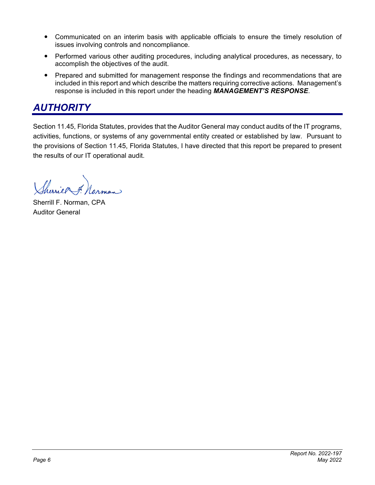- Communicated on an interim basis with applicable officials to ensure the timely resolution of issues involving controls and noncompliance.
- Performed various other auditing procedures, including analytical procedures, as necessary, to accomplish the objectives of the audit.
- Prepared and submitted for management response the findings and recommendations that are included in this report and which describe the matters requiring corrective actions. Management's response is included in this report under the heading *MANAGEMENT'S RESPONSE*.

#### *AUTHORITY*

Section 11.45, Florida Statutes, provides that the Auditor General may conduct audits of the IT programs, activities, functions, or systems of any governmental entity created or established by law. Pursuant to the provisions of Section 11.45, Florida Statutes, I have directed that this report be prepared to present the results of our IT operational audit.

Sherier 7. Norman

Sherrill F. Norman, CPA Auditor General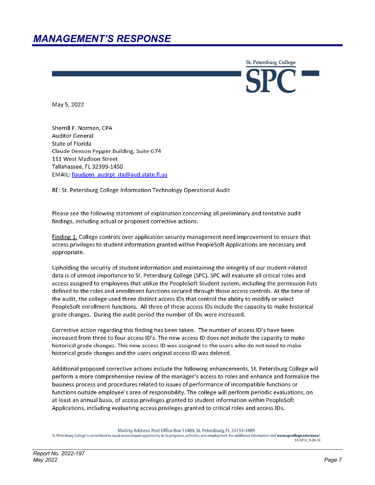#### *MANAGEMENT'S RESPONSE*

**St. Petersburg College** 

May 5, 2022

Sherrill F. Norman, CPA **Auditor General** State of Florida Claude Denson Pepper Building, Suite G74 111 West Madison Street Tallahassee, FL 32399-1450 EMAIL: flaudgen audrpt ita@aud.state.fl.us

RE: St. Petersburg College Information Technology Operational Audit

Please see the following statement of explanation concerning all preliminary and tentative audit findings, including actual or proposed corrective actions.

Finding 1: College controls over application security management need improvement to ensure that access privileges to student information granted within PeopleSoft Applications are necessary and appropriate.

Upholding the security of student information and maintaining the integrity of our student-related data is of utmost importance to St. Petersburg College (SPC). SPC will evaluate all critical roles and access assigned to employees that utilize the PeopleSoft Student system, including the permission lists defined to the roles and enrollment functions secured through those access controls. At the time of the audit, the college used three distinct access IDs that control the ability to modify or select PeopleSoft enrollment functions. All three of these access IDs include the capacity to make historical grade changes. During the audit period the number of IDs were increased.

Corrective action regarding this finding has been taken. The number of access ID's have been increased from three to four access ID's. The new access ID does not include the capacity to make historical grade changes. This new access ID was assigned to the users who do not need to make historical grade changes and the users original access ID was deleted.

Additional proposed corrective actions include the following enhancements. St. Petersburg College will perform a more comprehensive review of the manager's access to roles and enhance and formalize the business process and procedures related to issues of performance of incompatible functions or functions outside employee's area of responsibility. The college will perform periodic evaluations, on at least an annual basis, of access privileges granted to student information within PeopleSoft Applications, including evaluating access privileges granted to critical roles and access IDs.

Mailing Address: Post Office Box 13489, St. Petersburg, FL 33733-3489

St. Petersburg College is committed to equal access/equal opportunity in its programs, activities, and employment. For additional information visit www.spcollege.edu/eaeo/ 14-5012 9-26-18